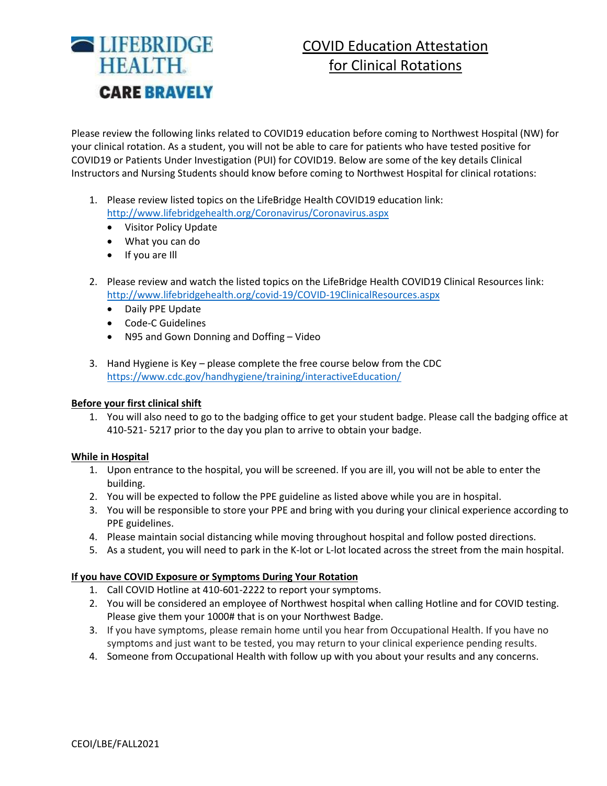

# COVID Education Attestation for Clinical Rotations

Please review the following links related to COVID19 education before coming to Northwest Hospital (NW) for your clinical rotation. As a student, you will not be able to care for patients who have tested positive for COVID19 or Patients Under Investigation (PUI) for COVID19. Below are some of the key details Clinical Instructors and Nursing Students should know before coming to Northwest Hospital for clinical rotations:

- 1. Please review listed topics on the LifeBridge Health COVID19 education link: <http://www.lifebridgehealth.org/Coronavirus/Coronavirus.aspx>
	- Visitor Policy Update
	- What you can do
	- If you are Ill
- 2. Please review and watch the listed topics on the LifeBridge Health COVID19 Clinical Resources link: <http://www.lifebridgehealth.org/covid-19/COVID-19ClinicalResources.aspx>
	- Daily PPE Update
	- Code-C Guidelines
	- N95 and Gown Donning and Doffing Video
- 3. Hand Hygiene is Key please complete the free course below from the CDC <https://www.cdc.gov/handhygiene/training/interactiveEducation/>

#### **Before your first clinical shift**

1. You will also need to go to the badging office to get your student badge. Please call the badging office at 410-521- 5217 prior to the day you plan to arrive to obtain your badge.

#### **While in Hospital**

- 1. Upon entrance to the hospital, you will be screened. If you are ill, you will not be able to enter the building.
- 2. You will be expected to follow the PPE guideline as listed above while you are in hospital.
- 3. You will be responsible to store your PPE and bring with you during your clinical experience according to PPE guidelines.
- 4. Please maintain social distancing while moving throughout hospital and follow posted directions.
- 5. As a student, you will need to park in the K-lot or L-lot located across the street from the main hospital.

#### **If you have COVID Exposure or Symptoms During Your Rotation**

- 1. Call COVID Hotline at 410-601-2222 to report your symptoms.
- 2. You will be considered an employee of Northwest hospital when calling Hotline and for COVID testing. Please give them your 1000# that is on your Northwest Badge.
- 3. If you have symptoms, please remain home until you hear from Occupational Health. If you have no symptoms and just want to be tested, you may return to your clinical experience pending results.
- 4. Someone from Occupational Health with follow up with you about your results and any concerns.